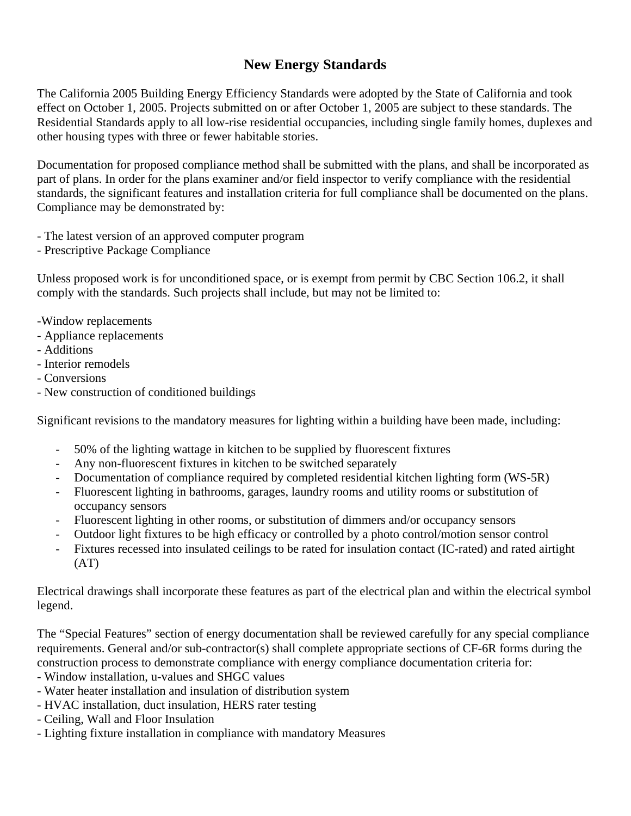## **New Energy Standards**

The California 2005 Building Energy Efficiency Standards were adopted by the State of California and took effect on October 1, 2005. Projects submitted on or after October 1, 2005 are subject to these standards. The Residential Standards apply to all low-rise residential occupancies, including single family homes, duplexes and other housing types with three or fewer habitable stories.

Documentation for proposed compliance method shall be submitted with the plans, and shall be incorporated as part of plans. In order for the plans examiner and/or field inspector to verify compliance with the residential standards, the significant features and installation criteria for full compliance shall be documented on the plans. Compliance may be demonstrated by:

- The latest version of an approved computer program
- Prescriptive Package Compliance

Unless proposed work is for unconditioned space, or is exempt from permit by CBC Section 106.2, it shall comply with the standards. Such projects shall include, but may not be limited to:

- -Window replacements
- Appliance replacements
- Additions
- Interior remodels
- Conversions
- New construction of conditioned buildings

Significant revisions to the mandatory measures for lighting within a building have been made, including:

- 50% of the lighting wattage in kitchen to be supplied by fluorescent fixtures
- Any non-fluorescent fixtures in kitchen to be switched separately
- Documentation of compliance required by completed residential kitchen lighting form (WS-5R)
- Fluorescent lighting in bathrooms, garages, laundry rooms and utility rooms or substitution of occupancy sensors
- Fluorescent lighting in other rooms, or substitution of dimmers and/or occupancy sensors
- Outdoor light fixtures to be high efficacy or controlled by a photo control/motion sensor control
- Fixtures recessed into insulated ceilings to be rated for insulation contact (IC-rated) and rated airtight (AT)

Electrical drawings shall incorporate these features as part of the electrical plan and within the electrical symbol legend.

The "Special Features" section of energy documentation shall be reviewed carefully for any special compliance requirements. General and/or sub-contractor(s) shall complete appropriate sections of CF-6R forms during the construction process to demonstrate compliance with energy compliance documentation criteria for:

- Window installation, u-values and SHGC values
- Water heater installation and insulation of distribution system
- HVAC installation, duct insulation, HERS rater testing
- Ceiling, Wall and Floor Insulation
- Lighting fixture installation in compliance with mandatory Measures